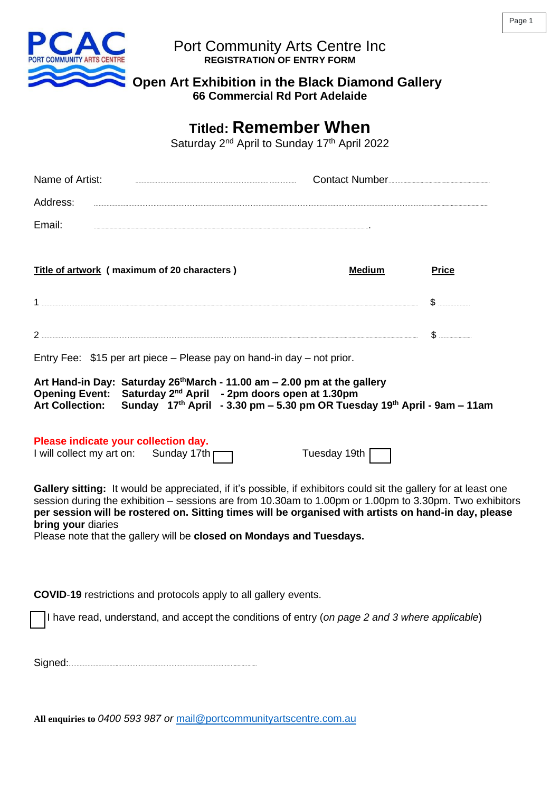

## Port Community Arts Centre Inc **REGISTRATION OF ENTRY FORM**

 **Open Art Exhibition in the Black Diamond Gallery**

**66 Commercial Rd Port Adelaide**

# **Titled: Remember When**

Saturday 2<sup>nd</sup> April to Sunday 17<sup>th</sup> April 2022

| Name of Artist:    | <b>Contact Number</b> |
|--------------------|-----------------------|
| Address:           |                       |
| Fmail <sup>-</sup> |                       |

| Title of artwork (maximum of 20 characters) |   |
|---------------------------------------------|---|
|                                             | . |
|                                             |   |

Entry Fee: \$15 per art piece – Please pay on hand-in day – not prior.

|  | Art Hand-in Day: Saturday 26 <sup>th</sup> March - 11.00 am $-$ 2.00 pm at the gallery                 |
|--|--------------------------------------------------------------------------------------------------------|
|  | Opening Event: Saturday 2 <sup>nd</sup> April - 2pm doors open at 1.30pm                               |
|  | Art Collection: Sunday $17th$ April - 3.30 pm – 5.30 pm OR Tuesday 19 <sup>th</sup> April - 9am – 11am |

| Please indicate your collection day. |                    |
|--------------------------------------|--------------------|
| I will collect my art on:            | Sunday 17th $\Box$ |

Tuesday 19th |

**Gallery sitting:** It would be appreciated, if it's possible, if exhibitors could sit the gallery for at least one session during the exhibition – sessions are from 10.30am to 1.00pm or 1.00pm to 3.30pm. Two exhibitors **per session will be rostered on. Sitting times will be organised with artists on hand-in day, please bring your** diaries

Please note that the gallery will be **closed on Mondays and Tuesdays.**

**COVID**-**19** restrictions and protocols apply to all gallery events.

I have read, understand, and accept the conditions of entry (*on page 2 and 3 where applicable*)

Signed:…………………………..……………………………………………………………..…........…......

**All enquiries to** *0400 593 987 or* [mail@portcommunityartscentre.com.au](mailto:mail@portcommunityartscentre.com.au)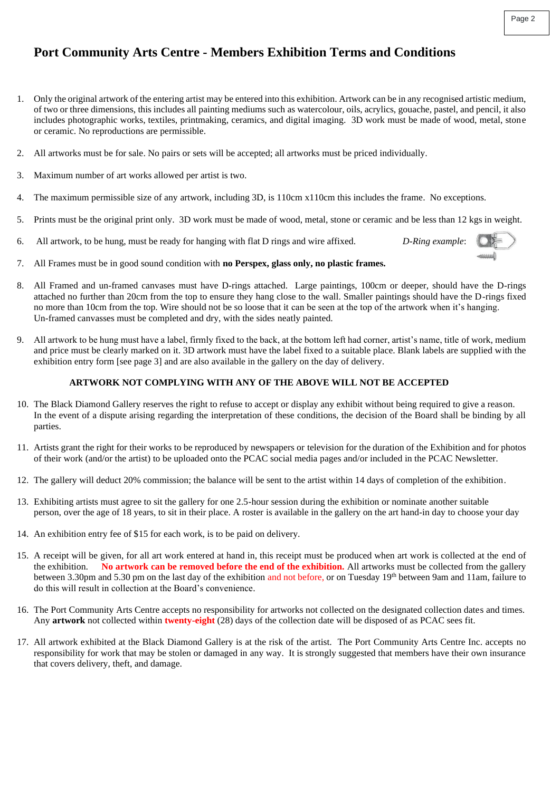## **Port Community Arts Centre - Members Exhibition Terms and Conditions**

- 1. Only the original artwork of the entering artist may be entered into this exhibition. Artwork can be in any recognised artistic medium, of two or three dimensions, this includes all painting mediums such as watercolour, oils, acrylics, gouache, pastel, and pencil, it also includes photographic works, textiles, printmaking, ceramics, and digital imaging. 3D work must be made of wood, metal, stone or ceramic. No reproductions are permissible.
- 2. All artworks must be for sale. No pairs or sets will be accepted; all artworks must be priced individually.
- 3. Maximum number of art works allowed per artist is two.
- 4. The maximum permissible size of any artwork, including 3D, is 110cm x110cm this includes the frame. No exceptions.
- 5. Prints must be the original print only. 3D work must be made of wood, metal, stone or ceramic and be less than 12 kgs in weight.
- 6. All artwork, to be hung, must be ready for hanging with flat D rings and wire affixed. *D-Ring example*:



- 7. All Frames must be in good sound condition with **no Perspex, glass only, no plastic frames.**
- 8. All Framed and un-framed canvases must have D-rings attached. Large paintings, 100cm or deeper, should have the D-rings attached no further than 20cm from the top to ensure they hang close to the wall. Smaller paintings should have the D-rings fixed no more than 10cm from the top. Wire should not be so loose that it can be seen at the top of the artwork when it's hanging. Un-framed canvasses must be completed and dry, with the sides neatly painted.
- 9. All artwork to be hung must have a label, firmly fixed to the back, at the bottom left had corner, artist's name, title of work, medium and price must be clearly marked on it. 3D artwork must have the label fixed to a suitable place. Blank labels are supplied with the exhibition entry form [see page 3] and are also available in the gallery on the day of delivery.

#### **ARTWORK NOT COMPLYING WITH ANY OF THE ABOVE WILL NOT BE ACCEPTED**

- 10. The Black Diamond Gallery reserves the right to refuse to accept or display any exhibit without being required to give a reason. In the event of a dispute arising regarding the interpretation of these conditions, the decision of the Board shall be binding by all parties.
- 11. Artists grant the right for their works to be reproduced by newspapers or television for the duration of the Exhibition and for photos of their work (and/or the artist) to be uploaded onto the PCAC social media pages and/or included in the PCAC Newsletter.
- 12. The gallery will deduct 20% commission; the balance will be sent to the artist within 14 days of completion of the exhibition.
- 13. Exhibiting artists must agree to sit the gallery for one 2.5-hour session during the exhibition or nominate another suitable person, over the age of 18 years, to sit in their place. A roster is available in the gallery on the art hand-in day to choose your day
- 14. An exhibition entry fee of \$15 for each work, is to be paid on delivery.
- 15. A receipt will be given, for all art work entered at hand in, this receipt must be produced when art work is collected at the end of the exhibition. **No artwork can be removed before the end of the exhibition.** All artworks must be collected from the gallery between 3.30pm and 5.30 pm on the last day of the exhibition and not before, or on Tuesday 19<sup>th</sup> between 9am and 11am, failure to do this will result in collection at the Board's convenience.
- 16. The Port Community Arts Centre accepts no responsibility for artworks not collected on the designated collection dates and times. Any **artwork** not collected within **twenty-eight** (28) days of the collection date will be disposed of as PCAC sees fit.
- 17. All artwork exhibited at the Black Diamond Gallery is at the risk of the artist. The Port Community Arts Centre Inc. accepts no responsibility for work that may be stolen or damaged in any way. It is strongly suggested that members have their own insurance that covers delivery, theft, and damage.